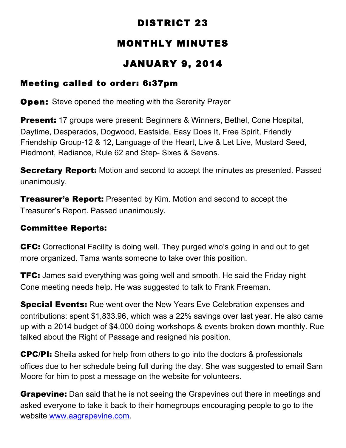## DISTRICT 23

# MONTHLY MINUTES

## JANUARY 9, 2014

### Meeting called to order: 6:37pm

**Open:** Steve opened the meeting with the Serenity Prayer

**Present:** 17 groups were present: Beginners & Winners, Bethel, Cone Hospital, Daytime, Desperados, Dogwood, Eastside, Easy Does It, Free Spirit, Friendly Friendship Group-12 & 12, Language of the Heart, Live & Let Live, Mustard Seed, Piedmont, Radiance, Rule 62 and Step- Sixes & Sevens.

**Secretary Report:** Motion and second to accept the minutes as presented. Passed unanimously.

**Treasurer's Report:** Presented by Kim. Motion and second to accept the Treasurer's Report. Passed unanimously.

#### Committee Reports:

CFC: Correctional Facility is doing well. They purged who's going in and out to get more organized. Tama wants someone to take over this position.

**TFC:** James said everything was going well and smooth. He said the Friday night Cone meeting needs help. He was suggested to talk to Frank Freeman.

**Special Events:** Rue went over the New Years Eve Celebration expenses and contributions: spent \$1,833.96, which was a 22% savings over last year. He also came up with a 2014 budget of \$4,000 doing workshops & events broken down monthly. Rue talked about the Right of Passage and resigned his position.

CPC/PI: Sheila asked for help from others to go into the doctors & professionals offices due to her schedule being full during the day. She was suggested to email Sam Moore for him to post a message on the website for volunteers.

**Grapevine:** Dan said that he is not seeing the Grapevines out there in meetings and asked everyone to take it back to their homegroups encouraging people to go to the website www.aagrapevine.com.